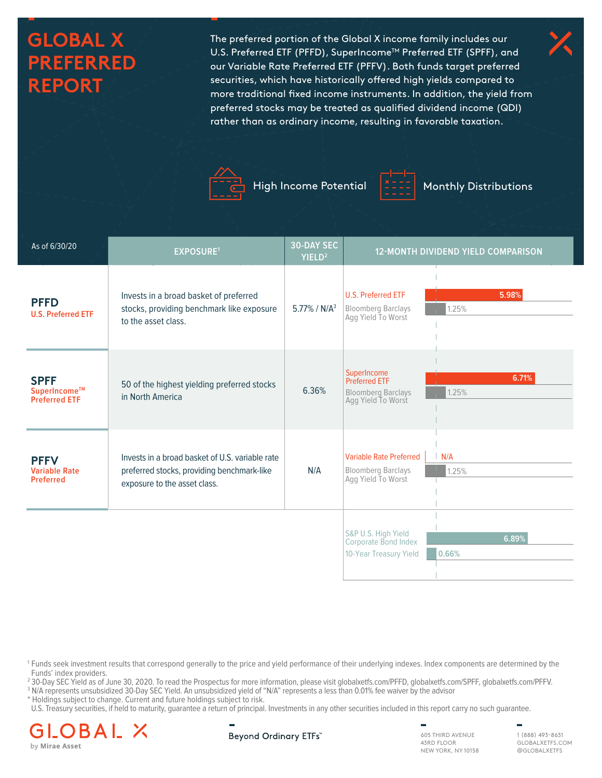# **GLOBAL X PREFERRED REPORT**

The preferred portion of the Global X income family includes our U.S. Preferred ETF (PFFD), SuperIncome™ Preferred ETF (SPFF), and our Variable Rate Preferred ETF (PFFV). Both funds target preferred securities, which have historically offered high yields compared to more traditional fixed income instruments. In addition, the yield from preferred stocks may be treated as qualified dividend income (QDI) rather than as ordinary income, resulting in favorable taxation.





High Income Potential  $\left| \frac{\text{max}}{\text{max}} \right|$  Monthly Distributions

| As of 6/30/20                                           | <b>EXPOSURE1</b>                                                                                                              | <b>12-MONTH DIVIDEND YIELD COMPARISON</b> |                                                                                        |                |  |  |
|---------------------------------------------------------|-------------------------------------------------------------------------------------------------------------------------------|-------------------------------------------|----------------------------------------------------------------------------------------|----------------|--|--|
| <b>PFFD</b><br><b>U.S. Preferred ETF</b>                | Invests in a broad basket of preferred<br>stocks, providing benchmark like exposure<br>to the asset class.                    | $5.77\%$ / N/A <sup>3</sup>               | <b>U.S. Preferred ETF</b><br><b>Bloomberg Barclays</b><br>Agg Yield To Worst           | 5.98%<br>1.25% |  |  |
| <b>SPFF</b><br>SuperIncome™<br><b>Preferred ETF</b>     | 50 of the highest yielding preferred stocks<br>in North America                                                               | 6.36%                                     | SuperIncome<br><b>Preferred FTF</b><br><b>Bloomberg Barclays</b><br>Agg Yield To Worst | 6.71%<br>1.25% |  |  |
| <b>PFFV</b><br><b>Variable Rate</b><br><b>Preferred</b> | Invests in a broad basket of U.S. variable rate<br>preferred stocks, providing benchmark-like<br>exposure to the asset class. | N/A                                       | <b>Variable Rate Preferred</b><br><b>Bloomberg Barclays</b><br>Agg Yield To Worst      | N/A<br>1.25%   |  |  |
|                                                         |                                                                                                                               |                                           | S&P U.S. High Yield<br>Corporate Bond Index<br>10-Year Treasury Yield                  | 6.89%<br>0.66% |  |  |

1 Funds seek investment results that correspond generally to the price and yield performance of their underlying indexes. Index components are determined by the Funds' index providers.

<sup>2</sup> 30-Day SEC Yield as of June 30, 2020. To read the Prospectus for more information, please visit globalxetfs.com/PFFD, globalxetfs.com/SPFF, globalxetfs.com/PFFV.

<sup>3</sup> N/A represents unsubsidized 30-Day SEC Yield. An unsubsidized yield of "N/A" represents a less than 0.01% fee waiver by the advisor

\* Holdings subject to change. Current and future holdings subject to risk.

U.S. Treasury securities, if held to maturity, guarantee a return of principal. Investments in any other securities included in this report carry no such guarantee.



605 THIRD AVENUE 43RD FLOOR NEW YORK, NY 10158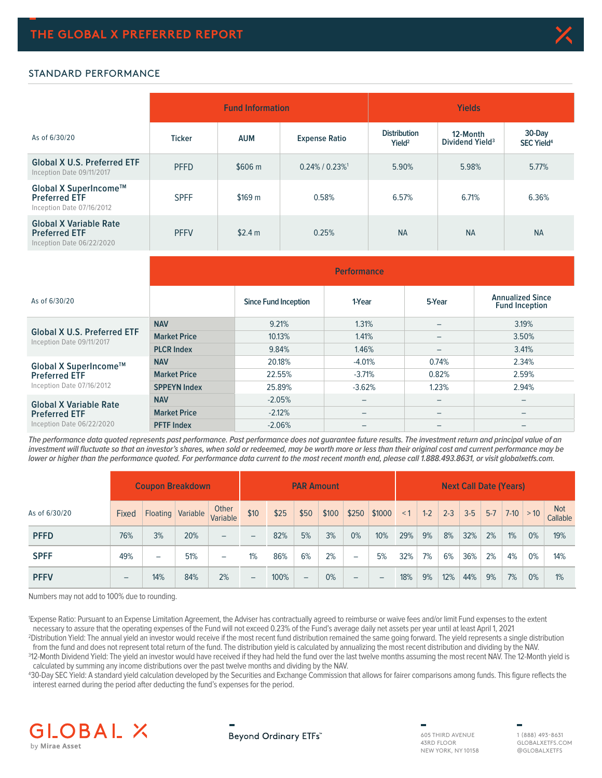

#### STANDARD PERFORMANCE

|                                                                                    |               | <b>Fund Information</b> |                                  | <b>Yields</b>                             |                                         |                                  |  |  |  |
|------------------------------------------------------------------------------------|---------------|-------------------------|----------------------------------|-------------------------------------------|-----------------------------------------|----------------------------------|--|--|--|
| As of 6/30/20                                                                      | <b>Ticker</b> | <b>AUM</b>              | <b>Expense Ratio</b>             | <b>Distribution</b><br>Yield <sup>2</sup> | 12-Month<br>Dividend Yield <sup>3</sup> | 30-Day<br>SEC Yield <sup>4</sup> |  |  |  |
| <b>Global X U.S. Preferred ETF</b><br>Inception Date 09/11/2017                    | <b>PFFD</b>   | \$606 m                 | $0.24\%$ / $0.23\%$ <sup>1</sup> | 5.90%                                     | 5.98%                                   | 5.77%                            |  |  |  |
| Global X SuperIncome™<br><b>Preferred ETF</b><br>Inception Date 07/16/2012         | <b>SPFF</b>   | \$169 m                 | 0.58%                            | 6.57%                                     | 6.71%                                   | 6.36%                            |  |  |  |
| <b>Global X Variable Rate</b><br><b>Preferred ETF</b><br>Inception Date 06/22/2020 | <b>PFFV</b>   | \$2.4 m                 | 0.25%                            | <b>NA</b>                                 | <b>NA</b>                               | <b>NA</b>                        |  |  |  |

|                                                                 | <b>Performance</b>  |                             |          |                          |                                                  |  |  |  |  |
|-----------------------------------------------------------------|---------------------|-----------------------------|----------|--------------------------|--------------------------------------------------|--|--|--|--|
| As of 6/30/20                                                   |                     | <b>Since Fund Inception</b> | 1-Year   | 5-Year                   | <b>Annualized Since</b><br><b>Fund Inception</b> |  |  |  |  |
|                                                                 | <b>NAV</b>          | 9.21%                       | 1.31%    | -                        | 3.19%                                            |  |  |  |  |
| <b>Global X U.S. Preferred ETF</b><br>Inception Date 09/11/2017 | <b>Market Price</b> | 10.13%                      | 1.41%    | $\overline{\phantom{0}}$ | 3.50%                                            |  |  |  |  |
|                                                                 | <b>PLCR Index</b>   | 9.84%                       | 1.46%    | $\overline{\phantom{0}}$ | 3.41%                                            |  |  |  |  |
| Global X SuperIncome™                                           | <b>NAV</b>          | 20.18%                      | $-4.01%$ | 0.74%                    | 2.34%                                            |  |  |  |  |
| <b>Preferred ETF</b><br>Inception Date 07/16/2012               | <b>Market Price</b> | 22.55%                      | $-3.71%$ | 0.82%                    | 2.59%                                            |  |  |  |  |
|                                                                 | <b>SPPEYN Index</b> | 25.89%                      | $-3.62%$ | 1.23%                    | 2.94%                                            |  |  |  |  |
| <b>Global X Variable Rate</b><br><b>Preferred ETF</b>           | <b>NAV</b>          | $-2.05%$                    | -        | $\overline{\phantom{0}}$ | $\overline{\phantom{0}}$                         |  |  |  |  |
|                                                                 | <b>Market Price</b> | $-2.12%$                    | -        | $\overline{\phantom{0}}$ |                                                  |  |  |  |  |
| Inception Date 06/22/2020                                       | <b>PFTF</b> Index   | $-2.06%$                    | -        | $\overline{\phantom{0}}$ | $\overline{\phantom{0}}$                         |  |  |  |  |

**The performance data quoted represents past performance. Past performance does not guarantee future results. The investment return and principal value of an investment will fluctuate so that an investor's shares, when sold or redeemed, may be worth more or less than their original cost and current performance may be lower or higher than the performance quoted. For performance data current to the most recent month end, please call 1.888.493.8631, or visit globalxetfs.com.**

|               |                          |     | <b>Coupon Breakdown</b> |                          | <b>PAR Amount</b>        |      |      | <b>Next Call Date (Years)</b> |                          |        |          |       |         |         |         |               |    |                        |
|---------------|--------------------------|-----|-------------------------|--------------------------|--------------------------|------|------|-------------------------------|--------------------------|--------|----------|-------|---------|---------|---------|---------------|----|------------------------|
| As of 6/30/20 | <b>Fixed</b>             |     | Floating Variable       | Other<br>Variable        | \$10                     | \$25 | \$50 | \$100                         | \$250                    | \$1000 | $\leq$ 1 | $1-2$ | $2 - 3$ | $3 - 5$ | $5 - 7$ | $ 7-10  > 10$ |    | <b>Not</b><br>Callable |
| <b>PFFD</b>   | 76%                      | 3%  | 20%                     | $\overline{\phantom{0}}$ | $\overline{\phantom{0}}$ | 82%  | 5%   | 3%                            | 0%                       | 10%    | 29%      | 9%    | 8%      | 32%     | 2%      | 1%            | 0% | 19%                    |
| <b>SPFF</b>   | 49%                      | -   | 51%                     | $\overline{\phantom{0}}$ | 1%                       | 86%  | 6%   | 2%                            | $\overline{\phantom{0}}$ | 5%     | 32%      | 7%    | 6%      | 36%     | 2%      | 4%            | 0% | 14%                    |
| <b>PFFV</b>   | $\overline{\phantom{0}}$ | 14% | 84%                     | 2%                       | $\qquad \qquad -$        | 100% | -    | 0%                            | $\overline{\phantom{0}}$ | -      | 18%      | 9%    | 12%     | 44%     | 9%      | 7%            | 0% | 1%                     |

Numbers may not add to 100% due to rounding.

1 Expense Ratio: Pursuant to an Expense Limitation Agreement, the Adviser has contractually agreed to reimburse or waive fees and/or limit Fund expenses to the extent necessary to assure that the operating expenses of the Fund will not exceed 0.23% of the Fund's average daily net assets per year until at least April 1, 2021 2 Distribution Yield: The annual yield an investor would receive if the most recent fund distribution remained the same going forward. The yield represents a single distribution

from the fund and does not represent total return of the fund. The distribution yield is calculated by annualizing the most recent distribution and dividing by the NAV. 312-Month Dividend Yield: The yield an investor would have received if they had held the fund over the last twelve months assuming the most recent NAV. The 12-Month yield is calculated by summing any income distributions over the past twelve months and dividing by the NAV.

4 30-Day SEC Yield: A standard yield calculation developed by the Securities and Exchange Commission that allows for fairer comparisons among funds. This figure reflects the interest earned during the period after deducting the fund's expenses for the period.



### Beyond Ordinary ETFs"

605 THIRD AVENUE 43RD FLOOR NEW YORK, NY 10158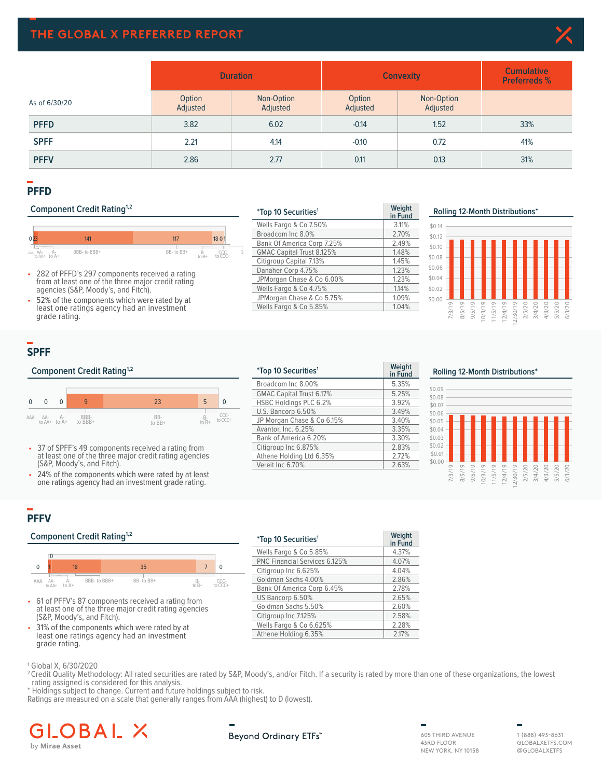### **THE GLOBAL X PREFERRED REPORT**



|               |                    | <b>Duration</b>        | <b>Convexity</b>   | <b>Cumulative</b><br><b>Preferreds %</b> |     |
|---------------|--------------------|------------------------|--------------------|------------------------------------------|-----|
| As of 6/30/20 | Option<br>Adjusted | Non-Option<br>Adjusted | Option<br>Adjusted | Non-Option<br>Adjusted                   |     |
| <b>PFFD</b>   | 3.82               | 6.02                   | $-0.14$            | 1.52                                     | 33% |
| <b>SPFF</b>   | 2.21               | 4.14                   | $-0.10$            | 0.72                                     | 41% |
| <b>PFFV</b>   | 2.86               | 2.77                   | 0.11               | 0.13                                     | 31% |

### **PFFD**

### **Component Credit Rating<sup>1,2</sup>**



- 282 of PFFD's 297 components received a rating from at least one of the three major credit rating agencies (S&P, Moody's, and Fitch).
- 52% of the components which were rated by at least one ratings agency had an investment grade rating.

| <i>*Top 10 Securities<sup>1</sup></i> | Weight<br>in Fund |
|---------------------------------------|-------------------|
| Wells Fargo & Co 7.50%                | 3.11%             |
| Broadcom Inc 8.0%                     | 2.70%             |
| Bank Of America Corp 7.25%            | 2.49%             |
| <b>GMAC Capital Trust 8.125%</b>      | 1.48%             |
| Citigroup Capital 7.13%               | 1.45%             |
| Danaher Corp 4.75%                    | 1.23%             |
| JPMorgan Chase & Co 6.00%             | 1.23%             |
| Wells Fargo & Co 4.75%                | 1.14%             |
| JPMorgan Chase & Co 5.75%             | 1.09%             |
| Wells Fargo & Co 5.85%                | 1.04%             |

### **PFFD Rolling 12 Month Distributions² Rolling 12-Month Distributions\***



## **SPFF**

### **Component Credit Rating<sup>1,2</sup>**



- 37 of SPFF's 49 components received a rating from at least one of the three major credit rating agencies (S&P, Moody's, and Fitch).
- 24% of the components which were rated by at least one ratings agency had an investment grade rating.

#### **\*Top 10 Securities1 Weight in Fund** Broadcom Inc 8.00% 5.35%<br>
GMAC Capital Trust 6.17% 5.25% GMAC Capital Trust 6.17% 5.25%<br>
HSBC Holdings PLC 6.2% 3.92% HSBC Holdings PLC 6.2% U.S. Bancorp 6.50% 3.49%<br>JP Morgan Chase & Co 6.15% 3.40% JP Morgan Chase & Co 6.15% 3.40%<br>Avantor, Inc. 6.25% 3.35% Avantor, Inc. 6.25% 3.35%<br>Bank of America 6.20% 3.30% Bank of America 6.20% 3.30%<br>Citiaroun Inc 6.875% 3.30% Citigroup Inc 6.875% 2.83%<br>Athene Holding Ltd 6.35% 2.72% Athene Holding Ltd 6.35% 2.72%<br>
Vereit Inc 6.70% 2.63% Vereit Inc 6.70%

#### **Rolling 12-Month Distributions\***



### **PFFV**

### **Component Credit Rating<sup>1,2</sup>**



- 61 of PFFV's 87 components received a rating from at least one of the three major credit rating agencies (S&P, Moody's, and Fitch).
- 31% of the components which were rated by at least one ratings agency had an investment grade rating.

| <i>*Top 10 Securities<sup>1</sup></i> | Weight<br>in Fund |
|---------------------------------------|-------------------|
| Wells Fargo & Co 5.85%                | 4.37%             |
| <b>PNC Financial Services 6.125%</b>  | 4.07%             |
| Citigroup Inc 6.625%                  | 4.04%             |
| Goldman Sachs 4.00%                   | 2.86%             |
| Bank Of America Corp 6.45%            | 2.78%             |
| US Bancorp 6.50%                      | 2.65%             |
| Goldman Sachs 5.50%                   | 2.60%             |
| Citigroup Inc 7.125%                  | 2.58%             |
| Wells Fargo & Co 6.625%               | 2.28%             |
| Athene Holding 6.35%                  | 2.17%             |

1 Global X, 6/30/2020

<sup>2</sup> Credit Quality Methodology: All rated securities are rated by S&P, Moody's, and/or Fitch. If a security is rated by more than one of these organizations, the lowest rating assigned is considered for this analysis.

 $^\ast$  Holdings subject to change. Current and future holdings subject to risk.

Ratings are measured on a scale that generally ranges from AAA (highest) to D (lowest).

### GIOBAI X by Mirae Asset

### Beyond Ordinary ETFs"

605 THIRD AVENUE 43RD FLOOR NEW YORK, NY 10158